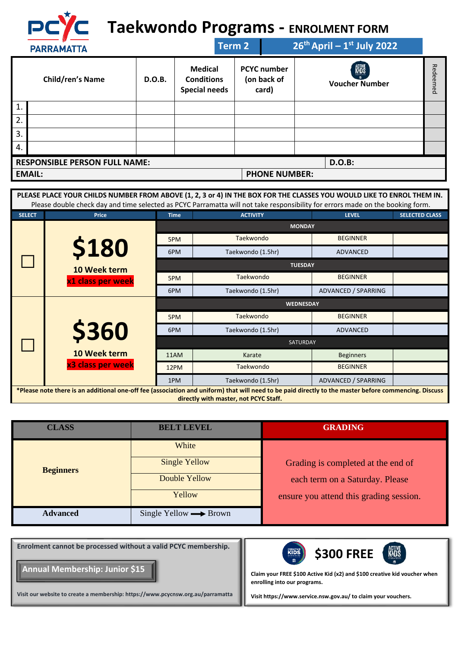

## **Taekwondo Programs - ENROLMENT FORM**

|    | <b>PARRAMATTA</b>                    |        |                                                             | Term 2 |                                            | $26th$ April – 1 <sup>st</sup> July 2022 |               |
|----|--------------------------------------|--------|-------------------------------------------------------------|--------|--------------------------------------------|------------------------------------------|---------------|
|    | <b>Child/ren's Name</b>              | D.O.B. | <b>Medical</b><br><b>Conditions</b><br><b>Special needs</b> |        | <b>PCYC</b> number<br>(on back of<br>card) | KUS<br><b>Voucher Number</b>             | Rede<br>iemed |
| 1. |                                      |        |                                                             |        |                                            |                                          |               |
| 2. |                                      |        |                                                             |        |                                            |                                          |               |
| 3. |                                      |        |                                                             |        |                                            |                                          |               |
| 4. |                                      |        |                                                             |        |                                            |                                          |               |
|    | <b>RESPONSIBLE PERSON FULL NAME:</b> |        |                                                             |        |                                            | <b>D.O.B:</b>                            |               |
|    | <b>EMAIL:</b>                        |        |                                                             |        | <b>PHONE NUMBER:</b>                       |                                          |               |

|               | PLEASE PLACE YOUR CHILDS NUMBER FROM ABOVE (1, 2, 3 or 4) IN THE BOX FOR THE CLASSES YOU WOULD LIKE TO ENROL THEM IN.<br>Please double check day and time selected as PCYC Parramatta will not take responsibility for errors made on the booking form. |             |                   |                     |                       |
|---------------|---------------------------------------------------------------------------------------------------------------------------------------------------------------------------------------------------------------------------------------------------------|-------------|-------------------|---------------------|-----------------------|
| <b>SELECT</b> | <b>Price</b>                                                                                                                                                                                                                                            | <b>Time</b> | <b>ACTIVITY</b>   | <b>LEVEL</b>        | <b>SELECTED CLASS</b> |
|               |                                                                                                                                                                                                                                                         |             | <b>MONDAY</b>     |                     |                       |
|               |                                                                                                                                                                                                                                                         | 5PM         | Taekwondo         | <b>BEGINNER</b>     |                       |
|               | <b>\$180</b>                                                                                                                                                                                                                                            | 6PM         | Taekwondo (1.5hr) | <b>ADVANCED</b>     |                       |
|               | 10 Week term                                                                                                                                                                                                                                            |             | <b>TUESDAY</b>    |                     |                       |
|               | x1 class per week                                                                                                                                                                                                                                       | 5PM         | Taekwondo         | <b>BEGINNER</b>     |                       |
|               |                                                                                                                                                                                                                                                         | 6PM         | Taekwondo (1.5hr) | ADVANCED / SPARRING |                       |
|               |                                                                                                                                                                                                                                                         |             | <b>WEDNESDAY</b>  |                     |                       |
|               |                                                                                                                                                                                                                                                         |             |                   |                     |                       |
|               |                                                                                                                                                                                                                                                         | 5PM         | Taekwondo         | <b>BEGINNER</b>     |                       |
|               |                                                                                                                                                                                                                                                         | 6PM         | Taekwondo (1.5hr) | ADVANCED            |                       |
|               | \$360                                                                                                                                                                                                                                                   |             | <b>SATURDAY</b>   |                     |                       |
|               | 10 Week term                                                                                                                                                                                                                                            | 11AM        | Karate            | <b>Beginners</b>    |                       |
|               | x3 class per week                                                                                                                                                                                                                                       | 12PM        | Taekwondo         | <b>BEGINNER</b>     |                       |
|               |                                                                                                                                                                                                                                                         | 1PM         | Taekwondo (1.5hr) | ADVANCED / SPARRING |                       |

| <b>CLASS</b>     | <b>BELT LEVEL</b>                     | <b>GRADING</b>                          |
|------------------|---------------------------------------|-----------------------------------------|
|                  | White                                 |                                         |
| <b>Beginners</b> | <b>Single Yellow</b>                  | Grading is completed at the end of      |
|                  | Double Yellow                         | each term on a Saturday. Please         |
|                  | Yellow                                | ensure you attend this grading session. |
| <b>Advanced</b>  | Single Yellow $\longrightarrow$ Brown |                                         |

**Enrolment cannot be processed without a valid PCYC membership.** 

**Annual Membership: Junior \$15**

**Visit our website to create a membership: https://www.pcycnsw.org.au/parramatta**



**Claim your FREE \$100 Active Kid (x2) and \$100 creative kid voucher when enrolling into our programs.**

**Visi[t https://www.service.nsw.gov.au/](https://www.service.nsw.gov.au/) to claim your vouchers.**